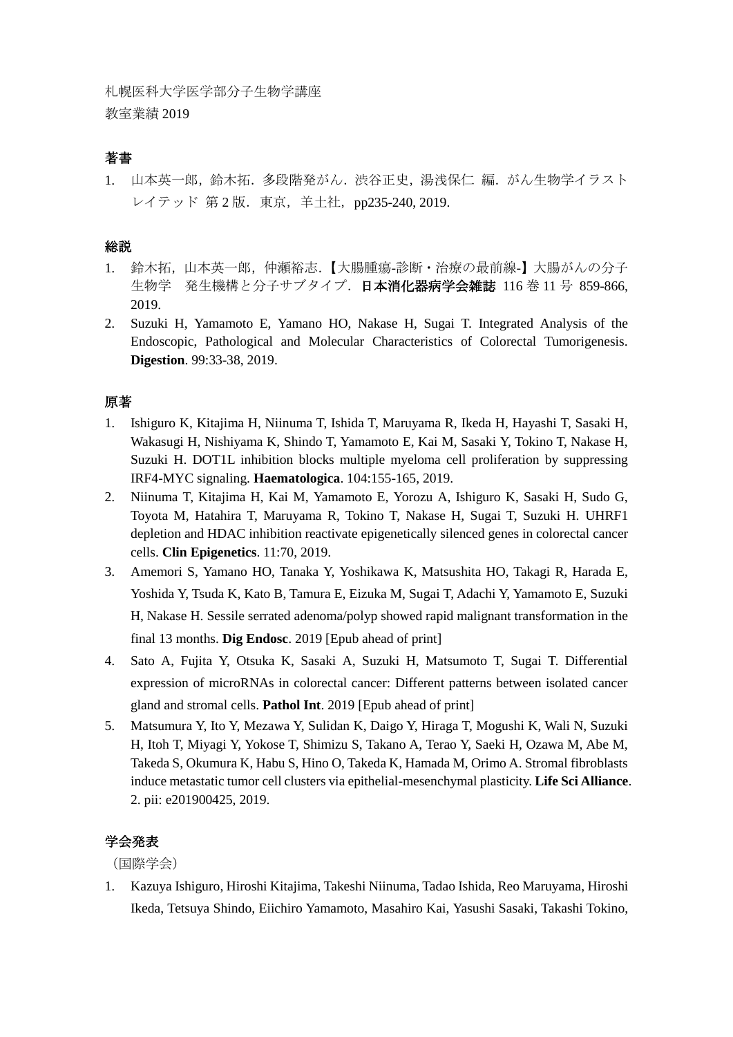## 著書

1. 山本英一郎,鈴木拓.多段階発がん.渋谷正史,湯浅保仁 編.がん生物学イラスト レイテッド 第2版. 東京, 羊土社, pp235-240, 2019.

## 総説

- 1. 鈴木拓,山本英一郎,仲瀬裕志.【大腸腫瘍-診断・治療の最前線-】大腸がんの分子 生物学 発生機構と分子サブタイプ.日本消化器病学会雑誌 116 巻 11 号 859-866, 2019.
- 2. Suzuki H, Yamamoto E, Yamano HO, Nakase H, Sugai T. Integrated Analysis of the Endoscopic, Pathological and Molecular Characteristics of Colorectal Tumorigenesis. **Digestion**. 99:33-38, 2019.

## 原著

- 1. Ishiguro K, Kitajima H, Niinuma T, Ishida T, Maruyama R, Ikeda H, Hayashi T, Sasaki H, Wakasugi H, Nishiyama K, Shindo T, Yamamoto E, Kai M, Sasaki Y, Tokino T, Nakase H, Suzuki H. DOT1L inhibition blocks multiple myeloma cell proliferation by suppressing IRF4-MYC signaling. **Haematologica**. 104:155-165, 2019.
- 2. Niinuma T, Kitajima H, Kai M, Yamamoto E, Yorozu A, Ishiguro K, Sasaki H, Sudo G, Toyota M, Hatahira T, Maruyama R, Tokino T, Nakase H, Sugai T, Suzuki H. UHRF1 depletion and HDAC inhibition reactivate epigenetically silenced genes in colorectal cancer cells. **Clin Epigenetics**. 11:70, 2019.
- 3. Amemori S, Yamano HO, Tanaka Y, Yoshikawa K, Matsushita HO, Takagi R, Harada E, Yoshida Y, Tsuda K, Kato B, Tamura E, Eizuka M, Sugai T, Adachi Y, Yamamoto E, Suzuki H, Nakase H. Sessile serrated adenoma/polyp showed rapid malignant transformation in the final 13 months. **Dig Endosc**. 2019 [Epub ahead of print]
- 4. Sato A, Fujita Y, Otsuka K, Sasaki A, Suzuki H, Matsumoto T, Sugai T. Differential expression of microRNAs in colorectal cancer: Different patterns between isolated cancer gland and stromal cells. **Pathol Int**. 2019 [Epub ahead of print]
- 5. Matsumura Y, Ito Y, Mezawa Y, Sulidan K, Daigo Y, Hiraga T, Mogushi K, Wali N, Suzuki H, Itoh T, Miyagi Y, Yokose T, Shimizu S, Takano A, Terao Y, Saeki H, Ozawa M, Abe M, Takeda S, Okumura K, Habu S, Hino O, Takeda K, Hamada M, Orimo A. Stromal fibroblasts induce metastatic tumor cell clusters via epithelial-mesenchymal plasticity. **Life Sci Alliance**. 2. pii: e201900425, 2019.

## 学会発表

(国際学会)

1. Kazuya Ishiguro, Hiroshi Kitajima, Takeshi Niinuma, Tadao Ishida, Reo Maruyama, Hiroshi Ikeda, Tetsuya Shindo, Eiichiro Yamamoto, Masahiro Kai, Yasushi Sasaki, Takashi Tokino,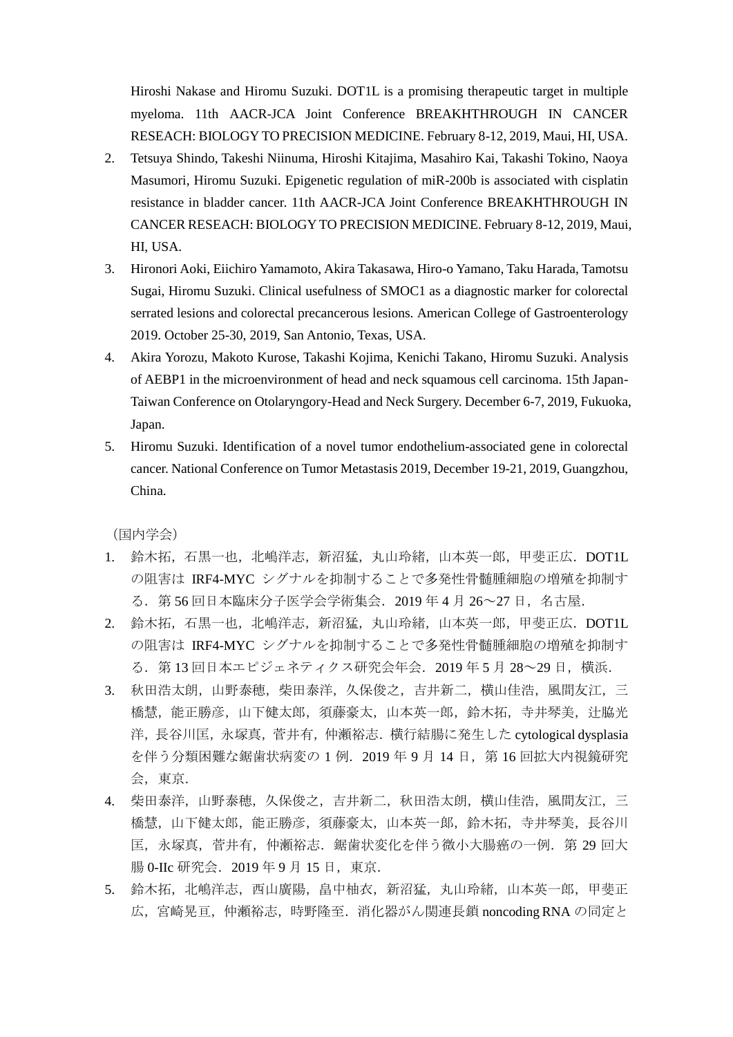Hiroshi Nakase and Hiromu Suzuki. DOT1L is a promising therapeutic target in multiple myeloma. 11th AACR-JCA Joint Conference BREAKHTHROUGH IN CANCER RESEACH: BIOLOGY TO PRECISION MEDICINE. February 8-12, 2019, Maui, HI, USA.

- 2. Tetsuya Shindo, Takeshi Niinuma, Hiroshi Kitajima, Masahiro Kai, Takashi Tokino, Naoya Masumori, Hiromu Suzuki. Epigenetic regulation of miR-200b is associated with cisplatin resistance in bladder cancer. 11th AACR-JCA Joint Conference BREAKHTHROUGH IN CANCER RESEACH: BIOLOGY TO PRECISION MEDICINE. February 8-12, 2019, Maui, HI, USA.
- 3. Hironori Aoki, Eiichiro Yamamoto, Akira Takasawa, Hiro-o Yamano, Taku Harada, Tamotsu Sugai, Hiromu Suzuki. Clinical usefulness of SMOC1 as a diagnostic marker for colorectal serrated lesions and colorectal precancerous lesions. American College of Gastroenterology 2019. October 25-30, 2019, San Antonio, Texas, USA.
- 4. Akira Yorozu, Makoto Kurose, Takashi Kojima, Kenichi Takano, Hiromu Suzuki. Analysis of AEBP1 in the microenvironment of head and neck squamous cell carcinoma. 15th Japan-Taiwan Conference on Otolaryngory-Head and Neck Surgery. December 6-7, 2019, Fukuoka, Japan.
- 5. Hiromu Suzuki. Identification of a novel tumor endothelium-associated gene in colorectal cancer. National Conference on Tumor Metastasis 2019, December 19-21, 2019, Guangzhou, China.

(国内学会)

- 1. 鈴木拓,石黒一也,北嶋洋志,新沼猛,丸山玲緒,山本英一郎,甲斐正広. DOT1L の阻害は IRF4-MYC シグナルを抑制することで多発性骨髄腫細胞の増殖を抑制す る.第 56 回日本臨床分子医学会学術集会.2019 年 4 月 26~27 日,名古屋.
- 2. 鈴木拓,石黒一也,北嶋洋志,新沼猛,丸山玲緒,山本英一郎,甲斐正広. DOT1L の阻害は IRF4-MYC シグナルを抑制することで多発性骨髄腫細胞の増殖を抑制す る.第 13 回日本エピジェネティクス研究会年会.2019 年 5 月 28~29 日,横浜.
- 3. 秋田浩太朗,山野泰穂,柴田泰洋,久保俊之,吉井新二,横山佳浩,風間友江,三 橋慧, 能正勝彦, 山下健太郎, 須藤豪太, 山本英一郎, 鈴木拓, 寺井琴美, 辻脇光 洋,長谷川匡,永塚真,菅井有,仲瀬裕志.横行結腸に発生した cytological dysplasia を伴う分類困難な鋸歯状病変の1例. 2019年9月 14日, 第16回拡大内視鏡研究 会, 東京.
- 4. 柴田泰洋,山野泰穂,久保俊之,吉井新二,秋田浩太朗,横山佳浩,風間友江,三 橋慧,山下健太郎,能正勝彦,須藤豪太,山本英一郎,鈴木拓,寺井琴美,長谷川 匡,永塚真,菅井有,仲瀬裕志.鋸歯状変化を伴う微小大腸癌の一例.第 29 回大 腸 0-IIc 研究会. 2019年 9 月 15 日, 東京.
- 5. 鈴木拓,北嶋洋志,西山廣陽,畠中柚衣,新沼猛,丸山玲緒,山本英一郎,甲斐正 広,宮崎晃亘,仲瀬裕志,時野隆至.消化器がん関連長鎖 noncoding RNA の同定と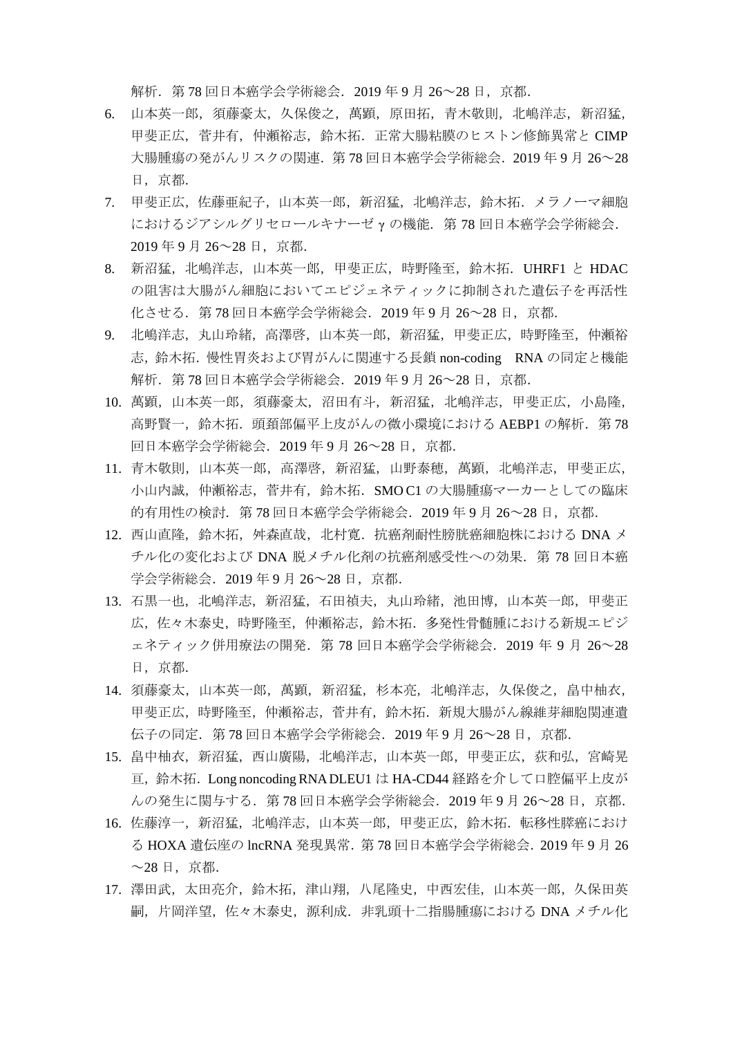解析.第 78 回日本癌学会学術総会.2019 年 9 月 26~28 日,京都.

- 6. 山本英一郎,須藤豪太,久保俊之,萬顕,原田拓,青木敬則,北嶋洋志,新沼猛, 甲斐正広,菅井有,仲瀬裕志,鈴木拓.正常大腸粘膜のヒストン修飾異常と CIMP 大腸腫瘍の発がんリスクの関連.第 78 回日本癌学会学術総会.2019 年 9 月 26~28 日,京都.
- 7. 甲斐正広,佐藤亜紀子,山本英一郎,新沼猛,北嶋洋志,鈴木拓.メラノーマ細胞 におけるジアシルグリセロールキナーゼ γ の機能. 第78回日本癌学会学術総会. 2019 年 9 月 26~28 日,京都.
- 8. 新沼猛,北嶋洋志,山本英一郎,甲斐正広,時野隆至,鈴木拓.UHRF1 と HDAC の阻害は大腸がん細胞においてエピジェネティックに抑制された遺伝子を再活性 化させる.第 78 回日本癌学会学術総会.2019 年 9 月 26~28 日,京都.
- 9. 北嶋洋志,丸山玲緒,高澤啓,山本英一郎,新沼猛,甲斐正広,時野隆至,仲瀬裕 志,鈴木拓.慢性胃炎および胃がんに関連する長鎖 non-coding RNA の同定と機能 解析.第 78 回日本癌学会学術総会.2019 年 9 月 26~28 日,京都.
- 10. 萬顕,山本英一郎,須藤豪太,沼田有斗,新沼猛,北嶋洋志,甲斐正広,小島隆, 高野賢一,鈴木拓. 頭頚部偏平上皮がんの微小環境における AEBP1 の解析. 第78 回日本癌学会学術総会.2019 年 9 月 26~28 日,京都.
- 11. 青木敬則,山本英一郎,高澤啓,新沼猛,山野泰穂,萬顕,北嶋洋志,甲斐正広, 小山内誠,仲瀬裕志,菅井有,鈴木拓. SMO C1 の大腸腫瘍マーカーとしての臨床 的有用性の検討. 第 78 回日本癌学会学術総会. 2019 年 9 月 26~28 日, 京都.
- 12. 西山直隆,鈴木拓,舛森直哉,北村寛.抗癌剤耐性膀胱癌細胞株における DNA メ チル化の変化および DNA 脱メチル化剤の抗癌剤感受性への効果. 第 78 回日本癌 学会学術総会. 2019年9月 26~28 日, 京都.
- 13. 石黒一也,北嶋洋志,新沼猛,石田禎夫,丸山玲緒,池田博,山本英一郎,甲斐正 広,佐々木泰史,時野隆至,仲瀬裕志,鈴木拓.多発性骨髄腫における新規エピジ ェネティック併用療法の開発.第 78 回日本癌学会学術総会.2019 年 9 月 26~28 日,京都.
- 14. 須藤豪太,山本英一郎,萬顕,新沼猛,杉本亮,北嶋洋志,久保俊之,畠中柚衣, 甲斐正広,時野隆至,仲瀬裕志,菅井有,鈴木拓.新規大腸がん線維芽細胞関連遺 伝子の同定.第 78 回日本癌学会学術総会.2019 年 9 月 26~28 日,京都.
- 15. 畠中柚衣, 新沼猛, 西山廣陽, 北嶋洋志, 山本英一郎, 甲斐正広, 荻和弘, 宮崎晃 亘,鈴木拓.Long noncoding RNA DLEU1 は HA-CD44 経路を介して口腔偏平上皮が んの発生に関与する.第 78 回日本癌学会学術総会.2019 年 9 月 26~28 日,京都.
- 16. 佐藤淳一, 新沼猛, 北嶋洋志, 山本英一郎, 甲斐正広, 鈴木拓. 転移性膵癌におけ る HOXA 遺伝座の lncRNA 発現異常. 第 78 回日本癌学会学術総会. 2019 年 9 月 26  $\sim$ 28 日, 京都.
- 17. 澤田武,太太田亮介,鈴木拓,津山翔,八尾隆史,中西宏佳,山本英一郎,久保田英 嗣, 片岡洋望, 佐々木泰史, 源利成. 非乳頭十二指腸腫瘍における DNA メチル化